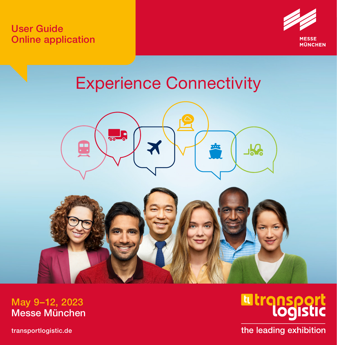User Guide Online application



# Experience Connectivity



May 9–12, 2023 Messe München

[transportlogistic.de](http://transportlogistic.de)

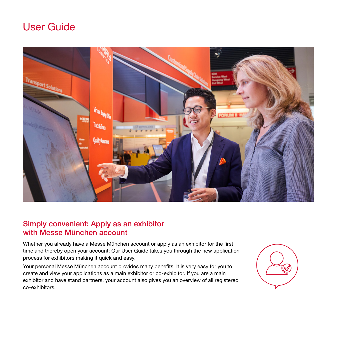## User Guide



#### Simply convenient: Apply as an exhibitor with Messe München account

Whether you already have a Messe München account or apply as an exhibitor for the first time and thereby open your account: Our User Guide takes you through the new application process for exhibitors making it quick and easy.

Your personal Messe München account provides many benefits: It is very easy for you to create and view your applications as a main exhibitor or co-exhibitor. If you are a main exhibitor and have stand partners, your account also gives you an overview of all registered co-exhibitors.

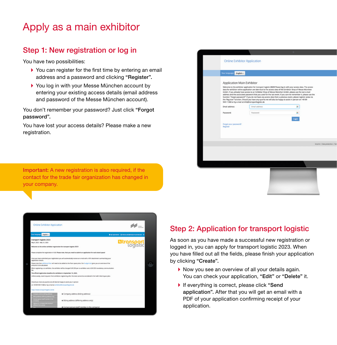## Apply as a main exhibitor

## Step 1: New registration or log in

You have two possibilities:

- You can register for the first time by entering an email address and a password and clicking "Register".
- ▶ You log in with your Messe München account by entering your existing access details (email address and password of the Messe München account).

You don't remember your password? Just click "Forgot password".

You have lost your access details? Please make a new registration.

| <b>Online Exhibitor Application</b> |                                                                                                                                                                                                                                                                                                                                                                                                                                                                                                                                                                               |                                                                                                                  |  |
|-------------------------------------|-------------------------------------------------------------------------------------------------------------------------------------------------------------------------------------------------------------------------------------------------------------------------------------------------------------------------------------------------------------------------------------------------------------------------------------------------------------------------------------------------------------------------------------------------------------------------------|------------------------------------------------------------------------------------------------------------------|--|
| Your language:<br>English -         |                                                                                                                                                                                                                                                                                                                                                                                                                                                                                                                                                                               |                                                                                                                  |  |
| Application Main Exhibitor          | Welcome to the exhibitor application for transport logistic 2023! Please log in with your access data. The access<br>data for exhibitor online application are iden-tical to the access data of the Exhibitor Shop of Messe München<br>GmbH. If you already have access to an Exhibitor Shop of Messe München GmbH, please use the last e-mail<br>function "Forgot password?" If you do not have any access data from a previous event, please register anew via<br>the 'Reg-ister' function. Should you have any queries we will also be happy to assist in person on +49 89 | address and the associated password that you used for the last event. If you can not remember it, please use the |  |
| Email address:                      | 949-11368 or by e-mail at info@transportlogistic.de<br>Email address                                                                                                                                                                                                                                                                                                                                                                                                                                                                                                          | ×                                                                                                                |  |
| Password:                           | Password                                                                                                                                                                                                                                                                                                                                                                                                                                                                                                                                                                      | ×                                                                                                                |  |
| Forgot your password?<br>Register   |                                                                                                                                                                                                                                                                                                                                                                                                                                                                                                                                                                               |                                                                                                                  |  |
|                                     |                                                                                                                                                                                                                                                                                                                                                                                                                                                                                                                                                                               | Imprint   Data protection   1                                                                                    |  |
|                                     |                                                                                                                                                                                                                                                                                                                                                                                                                                                                                                                                                                               |                                                                                                                  |  |
|                                     |                                                                                                                                                                                                                                                                                                                                                                                                                                                                                                                                                                               |                                                                                                                  |  |
|                                     |                                                                                                                                                                                                                                                                                                                                                                                                                                                                                                                                                                               |                                                                                                                  |  |
|                                     |                                                                                                                                                                                                                                                                                                                                                                                                                                                                                                                                                                               |                                                                                                                  |  |

Important: A new registration is also required, if the contact for the trade fair organization has changed in your company.



## Step 2: Application for transport logistic

As soon as you have made a successful new registration or logged in, you can apply for transport logistic 2023. When you have filled out all the fields, please finish your application by clicking "Create".

- Now you see an overview of all your details again. You can check your application, "Edit" or "Delete" it.
- If everything is correct, please click "Send application". After that you will get an email with a PDF of your application confirming receipt of your application.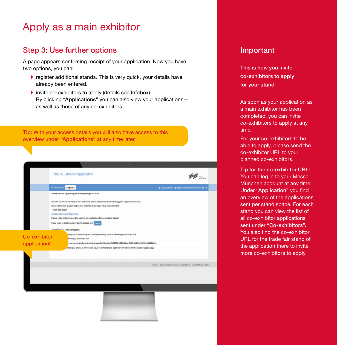## Apply as a main exhibitor

#### Step 3: Use further options **Important**

A page appears confirming receipt of your application. Now you have two options, you can:

- register additional stands. This is very quick, your details have already been entered.
- ▶ invite co-exhibitors to apply (details see Infobox). By clicking "Applications" you can also view your applicationsas well as those of any co-exhibitors.

Tip: With your access details you will also have access to this overview under "Applications" at any time later.

|              | <b>Online Exhibitor Application</b>                                                                                                                                                                   | <b>MESSE</b>                                                          |
|--------------|-------------------------------------------------------------------------------------------------------------------------------------------------------------------------------------------------------|-----------------------------------------------------------------------|
|              | Your language: English -                                                                                                                                                                              |                                                                       |
|              |                                                                                                                                                                                                       | B My Applications & rebecca seltz@messe-muenchen.de ©                 |
|              | Thank you for registering for transport logistic 2023!                                                                                                                                                |                                                                       |
|              | You will automatically receive an e-mail with a PDF attachment summarizing your registration details.                                                                                                 |                                                                       |
|              | We are of course at your disposal at all times should you have any questions                                                                                                                          |                                                                       |
|              | +49 89 949-20271                                                                                                                                                                                      |                                                                       |
|              | exhibitor@transportlogistic.de                                                                                                                                                                        |                                                                       |
|              | Please note, that you need to submit an application for each stand space!                                                                                                                             |                                                                       |
|              | If you want to order another booth, please click                                                                                                                                                      |                                                                       |
|              | Angly Co-exhibitors:                                                                                                                                                                                  |                                                                       |
| Co-exhibitor | biting companies on your stand please only use the following customized link.                                                                                                                         |                                                                       |
|              | llowing customized link                                                                                                                                                                               |                                                                       |
| application! | n.messe-muenchen.de/co/transport%20logistic%202021/8f4c14ea-f862-4d62-8c55-982a8542be9a<br>oitors (via email). It will enable your co-exhibitors to apply directly online for transport logistic 2023 |                                                                       |
|              |                                                                                                                                                                                                       |                                                                       |
|              |                                                                                                                                                                                                       |                                                                       |
|              |                                                                                                                                                                                                       |                                                                       |
|              |                                                                                                                                                                                                       | Imprint   Data protection   Terms and Conditions   Messe München 2020 |
|              |                                                                                                                                                                                                       |                                                                       |
|              |                                                                                                                                                                                                       |                                                                       |
|              |                                                                                                                                                                                                       |                                                                       |
|              |                                                                                                                                                                                                       |                                                                       |
|              |                                                                                                                                                                                                       |                                                                       |
|              |                                                                                                                                                                                                       |                                                                       |
|              |                                                                                                                                                                                                       |                                                                       |
|              |                                                                                                                                                                                                       |                                                                       |
|              |                                                                                                                                                                                                       |                                                                       |
|              |                                                                                                                                                                                                       |                                                                       |
|              |                                                                                                                                                                                                       |                                                                       |
|              |                                                                                                                                                                                                       |                                                                       |

This is how you invite co-exhibitors to apply for your stand

As soon as your application as a main exhibitor has been completed, you can invite co-exhibitors to apply at any time.

For your co-exhibitors to be able to apply, please send the co-exhibitor URL to your planned co-exhibitors.

Tip for the co-exhibitor URL: You can log in to your Messe München account at any time: Under "Application" you find an overview of the applications sent per stand space. For each stand you can view the list of all co-exhibitor applications sent under "Co-exhibitors". You also find the co-exhibitor URL for the trade fair stand of the application there to invite more co-exhibitors to apply.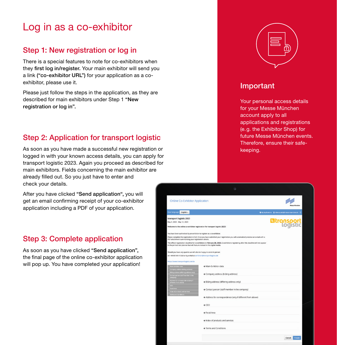## Log in as a co-exhibitor

## Step 1: New registration or log in

There is a special features to note for co-exhibitors when they first log in/register. Your main exhibitor will send you a link ("co-exhibitor URL") for your application as a coexhibitor, please use it.

Please just follow the steps in the application, as they are described for main exhibitors under Step 1 "New registration or log in".

## Step 2: Application for transport logistic

As soon as you have made a successful new registration or logged in with your known access details, you can apply for transport logistic 2023. Again you proceed as described for main exhibitors. Fields concerning the main exhibitor are already filled out. So you just have to enter and check your details.

After you have clicked "Send application", you will get an email confirming receipt of your co-exhibitor application including a PDF of your application.

#### Step 3: Complete application

As soon as you have clicked "Send application", the final page of the online co-exhibitor application will pop up. You have completed your application!



#### Important

Your personal access details for your Messe München account apply to all applications and registrations (e.g. the Exhibitor Shop) for future Messe München events. Therefore, ensure their safekeeping.

| <b>Online Co-Exhibitor Application</b>                                                                              |                                                                                                                                          | san Milasahas      |  |
|---------------------------------------------------------------------------------------------------------------------|------------------------------------------------------------------------------------------------------------------------------------------|--------------------|--|
| Your language:<br>English -                                                                                         | Il My Applications   1 rebecca.selta@messe-muenchen.de   CI                                                                              |                    |  |
| transport logistic 2023                                                                                             |                                                                                                                                          |                    |  |
| May 9, 2023 - May 12, 2023                                                                                          |                                                                                                                                          | <b>Eltrensport</b> |  |
| Welcome to the online co-exhibitor registration for transport logistic 2023!                                        |                                                                                                                                          |                    |  |
| You have been authorized by an exhibitor to register as a co-exhibitor.                                             |                                                                                                                                          |                    |  |
| PDF attachment summarizing your registration details.                                                               | Please complete the registration in full. Once you have submitted your registration you will automatically receive an e-mail with a      |                    |  |
| in the printed visit planner but will feature instead in the digital media.                                         | The official registration deadline for co-exhibitors is February 28, 2023, Co-exhibitors registering after this deadline will not appear |                    |  |
| Should you have any queries we will also be happy to assist in person                                               |                                                                                                                                          |                    |  |
| on +49 89 949-11368 or by e-Mail at exhibitor@transportlogistic.de                                                  |                                                                                                                                          |                    |  |
| https://www.transportlogistic.de/de                                                                                 |                                                                                                                                          |                    |  |
| Main-Exhibitor data                                                                                                 | + Main-Exhibitor data                                                                                                                    |                    |  |
| Company address (billing address)<br>Billing address (differing address only)<br>Contact person built member in the | + Company address (billing address)                                                                                                      |                    |  |
| <b><i>Contact Ave De Tall</i></b><br>Address for correspondence (only if<br>different from above).<br><b>cto</b>    | + Billing address (differing address only)                                                                                               |                    |  |
| Focal Area<br>Index of products and services                                                                        | + Contact person (staff member in the company)                                                                                           |                    |  |
|                                                                                                                     | + Address for correspondence (only if different from above)                                                                              |                    |  |
|                                                                                                                     | $+$ CEO                                                                                                                                  |                    |  |
|                                                                                                                     | + Focal Area                                                                                                                             |                    |  |
|                                                                                                                     | + Index of products and services                                                                                                         |                    |  |
|                                                                                                                     | + Terms and Conditions                                                                                                                   |                    |  |
|                                                                                                                     |                                                                                                                                          |                    |  |
|                                                                                                                     |                                                                                                                                          | Cancel<br>Create   |  |